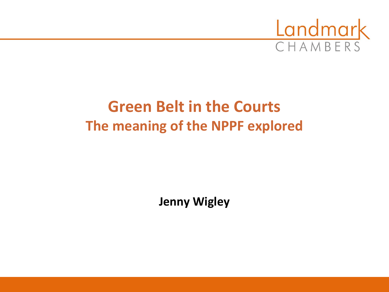

#### **Green Belt in the Courts The meaning of the NPPF explored**

**Jenny Wigley**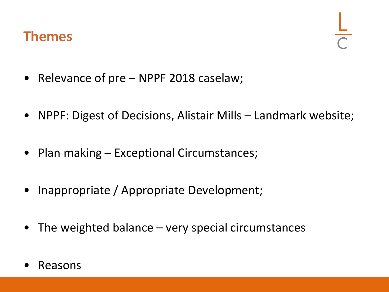#### **Themes**

- Relevance of pre NPPF 2018 caselaw;
- NPPF: Digest of Decisions, Alistair Mills Landmark website;
- Plan making Exceptional Circumstances;
- Inappropriate / Appropriate Development;
- The weighted balance very special circumstances
- Reasons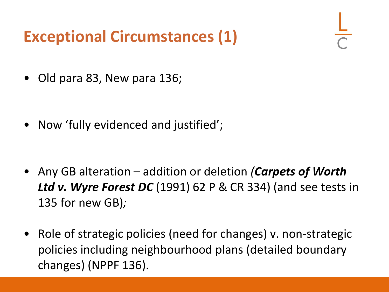#### **Exceptional Circumstances (1)**

• Old para 83, New para 136;

• Now 'fully evidenced and justified';

- Any GB alteration addition or deletion *(Carpets of Worth Ltd v. Wyre Forest DC* (1991) 62 P & CR 334) (and see tests in 135 for new GB)*;*
- Role of strategic policies (need for changes) v. non-strategic policies including neighbourhood plans (detailed boundary changes) (NPPF 136).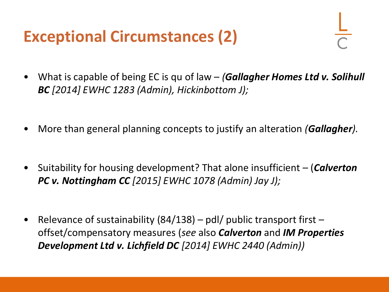#### **Exceptional Circumstances (2)**

- What is capable of being EC is qu of law *(Gallagher Homes Ltd v. Solihull BC [2014] EWHC 1283 (Admin), Hickinbottom J);*
- More than general planning concepts to justify an alteration *(Gallagher).*
- Suitability for housing development? That alone insufficient (*Calverton PC v. Nottingham CC [2015] EWHC 1078 (Admin) Jay J);*
- Relevance of sustainability  $(84/138)$  pdl/ public transport first offset/compensatory measures (*see* also *Calverton* and *IM Properties Development Ltd v. Lichfield DC [2014] EWHC 2440 (Admin))*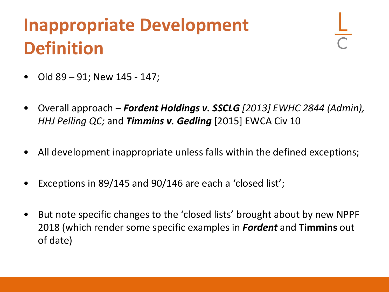### **Inappropriate Development Definition**

- Old 89 91; New 145 147;
- Overall approach *Fordent Holdings v. SSCLG [2013] EWHC 2844 (Admin), HHJ Pelling QC;* and *Timmins v. Gedling* [2015] EWCA Civ 10
- All development inappropriate unless falls within the defined exceptions;
- Exceptions in 89/145 and 90/146 are each a 'closed list';
- But note specific changes to the 'closed lists' brought about by new NPPF 2018 (which render some specific examples in *Fordent* and **Timmins** out of date)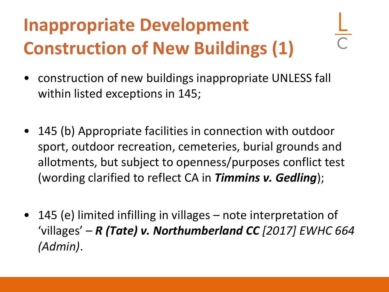# **Inappropriate Development Construction of New Buildings (1)**

- construction of new buildings inappropriate UNLESS fall within listed exceptions in 145;
- 145 (b) Appropriate facilities in connection with outdoor sport, outdoor recreation, cemeteries, burial grounds and allotments, but subject to openness/purposes conflict test (wording clarified to reflect CA in *Timmins v. Gedling*);
- 145 (e) limited infilling in villages note interpretation of 'villages' – *R (Tate) v. Northumberland CC [2017] EWHC 664 (Admin)*.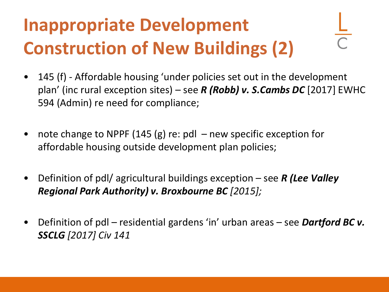# **Inappropriate Development Construction of New Buildings (2)**

- 145 (f) Affordable housing 'under policies set out in the development plan' (inc rural exception sites) – see *R (Robb) v. S.Cambs DC* [2017] EWHC 594 (Admin) re need for compliance;
- note change to NPPF (145 (g) re: pdl new specific exception for affordable housing outside development plan policies;
- Definition of pdl/ agricultural buildings exception see *R (Lee Valley Regional Park Authority) v. Broxbourne BC [2015];*
- Definition of pdl residential gardens 'in' urban areas see *Dartford BC v. SSCLG [2017] Civ 141*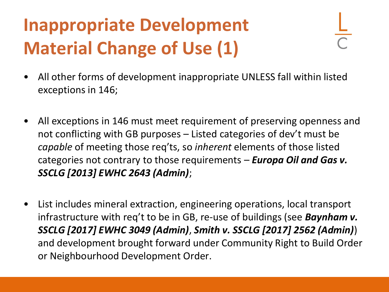# **Inappropriate Development Material Change of Use (1)**

- All other forms of development inappropriate UNLESS fall within listed exceptions in 146;
- All exceptions in 146 must meet requirement of preserving openness and not conflicting with GB purposes – Listed categories of dev't must be *capable* of meeting those req'ts, so *inherent* elements of those listed categories not contrary to those requirements – *Europa Oil and Gas v. SSCLG [2013] EWHC 2643 (Admin)*;
- List includes mineral extraction, engineering operations, local transport infrastructure with req't to be in GB, re-use of buildings (see *Baynham v. SSCLG [2017] EWHC 3049 (Admin)*, *Smith v. SSCLG [2017] 2562 (Admin)*) and development brought forward under Community Right to Build Order or Neighbourhood Development Order.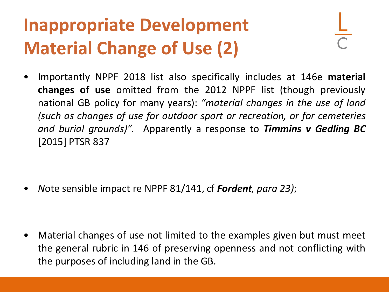# **Inappropriate Development Material Change of Use (2)**

• Importantly NPPF 2018 list also specifically includes at 146e **material changes of use** omitted from the 2012 NPPF list (though previously national GB policy for many years): *"material changes in the use of land (such as changes of use for outdoor sport or recreation, or for cemeteries and burial grounds)".* Apparently a response to *Timmins v Gedling BC* [2015] PTSR 837

• *N*ote sensible impact re NPPF 81/141, cf *Fordent, para 23)*;

• Material changes of use not limited to the examples given but must meet the general rubric in 146 of preserving openness and not conflicting with the purposes of including land in the GB.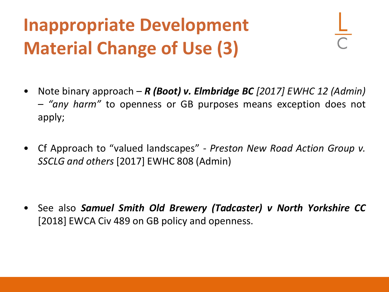# **Inappropriate Development Material Change of Use (3)**

- Note binary approach *R (Boot) v. Elmbridge BC [2017] EWHC 12 (Admin) – "any harm"* to openness or GB purposes means exception does not apply;
- Cf Approach to "valued landscapes" *Preston New Road Action Group v. SSCLG and others* [2017] EWHC 808 (Admin)

• See also *Samuel Smith Old Brewery (Tadcaster) v North Yorkshire CC* [2018] EWCA Civ 489 on GB policy and openness.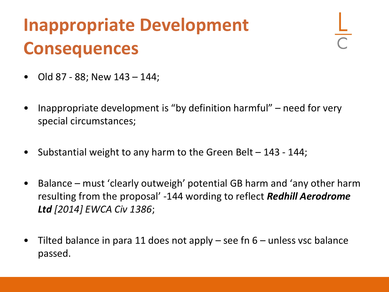### **Inappropriate Development Consequences**

- Old 87 88; New 143 144;
- Inappropriate development is "by definition harmful" need for very special circumstances;
- Substantial weight to any harm to the Green Belt  $-143 144$ ;
- Balance must 'clearly outweigh' potential GB harm and 'any other harm resulting from the proposal' -144 wording to reflect *Redhill Aerodrome Ltd [2014] EWCA Civ 1386*;
- Tilted balance in para 11 does not apply  $-$  see fn 6  $-$  unless vsc balance passed.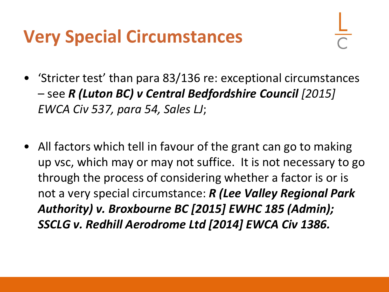### **Very Special Circumstances**

- 'Stricter test' than para 83/136 re: exceptional circumstances – see *R (Luton BC) v Central Bedfordshire Council [2015] EWCA Civ 537, para 54, Sales LJ*;
- All factors which tell in favour of the grant can go to making up vsc, which may or may not suffice. It is not necessary to go through the process of considering whether a factor is or is not a very special circumstance: *R (Lee Valley Regional Park Authority) v. Broxbourne BC [2015] EWHC 185 (Admin); SSCLG v. Redhill Aerodrome Ltd [2014] EWCA Civ 1386.*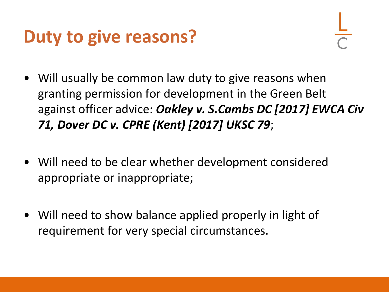### **Duty to give reasons?**

- Will usually be common law duty to give reasons when granting permission for development in the Green Belt against officer advice: *Oakley v. S.Cambs DC [2017] EWCA Civ 71, Dover DC v. CPRE (Kent) [2017] UKSC 79*;
- Will need to be clear whether development considered appropriate or inappropriate;
- Will need to show balance applied properly in light of requirement for very special circumstances.